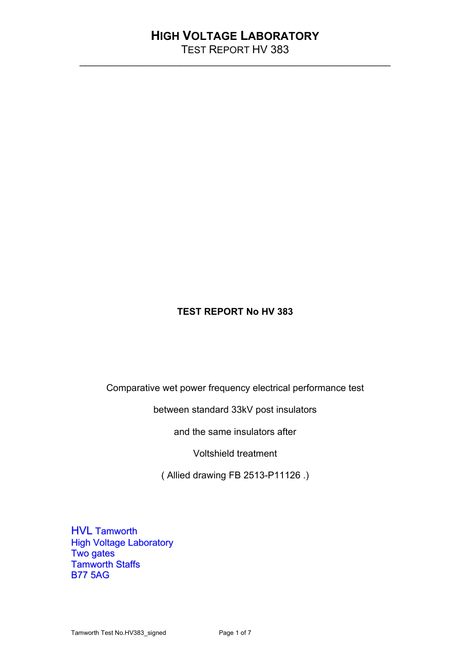\_\_\_\_\_\_\_\_\_\_\_\_\_\_\_\_\_\_\_\_\_\_\_\_\_\_\_\_\_\_\_\_\_\_\_\_\_\_\_\_\_\_\_\_\_\_\_\_\_\_\_\_\_\_\_\_\_\_\_

### **TEST REPORT No HV 383**

Comparative wet power frequency electrical performance test

between standard 33kV post insulators

and the same insulators after

Voltshield treatment

( Allied drawing FB 2513-P11126 .)

HVL Tamworth High Voltage Laboratory Two gates Tamworth Staffs B77 5AG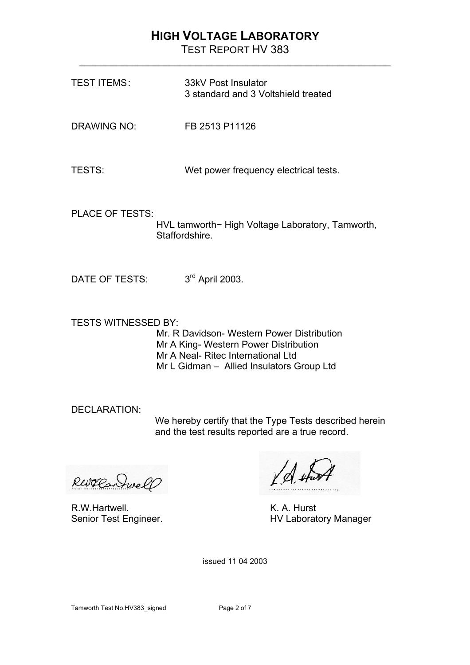TEST REPORT HV 383 \_\_\_\_\_\_\_\_\_\_\_\_\_\_\_\_\_\_\_\_\_\_\_\_\_\_\_\_\_\_\_\_\_\_\_\_\_\_\_\_\_\_\_\_\_\_\_\_\_\_\_\_\_\_\_\_\_\_\_

| <b>TEST ITEMS:</b>         | 33kV Post Insulator<br>3 standard and 3 Voltshield treated                                                                                                             |
|----------------------------|------------------------------------------------------------------------------------------------------------------------------------------------------------------------|
| <b>DRAWING NO:</b>         | FB 2513 P11126                                                                                                                                                         |
| <b>TESTS:</b>              | Wet power frequency electrical tests.                                                                                                                                  |
| <b>PLACE OF TESTS:</b>     | HVL tamworth~ High Voltage Laboratory, Tamworth,<br>Staffordshire.                                                                                                     |
| DATE OF TESTS:             | 3rd April 2003.                                                                                                                                                        |
| <b>TESTS WITNESSED BY:</b> | Mr. R Davidson- Western Power Distribution<br>Mr A King- Western Power Distribution<br>Mr A Neal- Ritec International Ltd<br>Mr L Gidman - Allied Insulators Group Ltd |
| <b>DECLARATION:</b>        | We hereby certify that the Type Tests described herein<br>and the test results reported are a true record.                                                             |
|                            | $\sqrt{1+\frac{1}{2}}$                                                                                                                                                 |

Revolantwell

R.W.Hartwell. K. A. Hurst<br>
Senior Test Engineer. 
K. A. Hurst

XA thirt

HV Laboratory Manager

issued 11 04 2003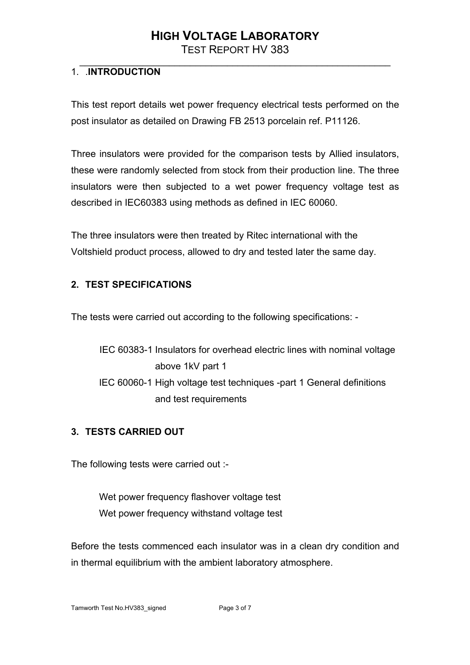TEST REPORT HV 383 \_\_\_\_\_\_\_\_\_\_\_\_\_\_\_\_\_\_\_\_\_\_\_\_\_\_\_\_\_\_\_\_\_\_\_\_\_\_\_\_\_\_\_\_\_\_\_\_\_\_\_\_\_\_\_\_\_\_\_

### 1. .**INTRODUCTION**

This test report details wet power frequency electrical tests performed on the post insulator as detailed on Drawing FB 2513 porcelain ref. P11126.

Three insulators were provided for the comparison tests by Allied insulators, these were randomly selected from stock from their production line. The three insulators were then subjected to a wet power frequency voltage test as described in IEC60383 using methods as defined in IEC 60060.

The three insulators were then treated by Ritec international with the Voltshield product process, allowed to dry and tested later the same day.

#### **2. TEST SPECIFICATIONS**

The tests were carried out according to the following specifications: -

IEC 60383-1 Insulators for overhead electric lines with nominal voltage above 1kV part 1 IEC 60060-1 High voltage test techniques -part 1 General definitions and test requirements

#### **3. TESTS CARRIED OUT**

The following tests were carried out :-

Wet power frequency flashover voltage test Wet power frequency withstand voltage test

Before the tests commenced each insulator was in a clean dry condition and in thermal equilibrium with the ambient laboratory atmosphere.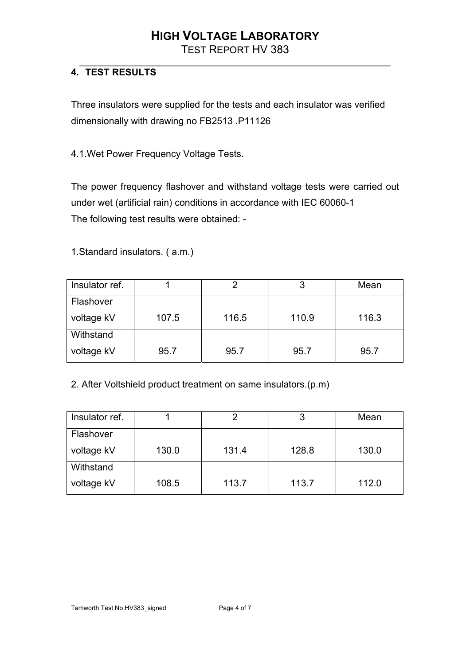TEST REPORT HV 383 \_\_\_\_\_\_\_\_\_\_\_\_\_\_\_\_\_\_\_\_\_\_\_\_\_\_\_\_\_\_\_\_\_\_\_\_\_\_\_\_\_\_\_\_\_\_\_\_\_\_\_\_\_\_\_\_\_\_\_

### **4. TEST RESULTS**

Three insulators were supplied for the tests and each insulator was verified dimensionally with drawing no FB2513 .P11126

4.1.Wet Power Frequency Voltage Tests.

The power frequency flashover and withstand voltage tests were carried out under wet (artificial rain) conditions in accordance with IEC 60060-1 The following test results were obtained: -

1.Standard insulators. ( a.m.)

| Insulator ref. |       |       | 3     | Mean  |
|----------------|-------|-------|-------|-------|
| Flashover      |       |       |       |       |
| voltage kV     | 107.5 | 116.5 | 110.9 | 116.3 |
| Withstand      |       |       |       |       |
| voltage kV     | 95.7  | 95.7  | 95.7  | 95.7  |

2. After Voltshield product treatment on same insulators.(p.m)

| Insulator ref. |       |       | 3     | Mean  |
|----------------|-------|-------|-------|-------|
| Flashover      |       |       |       |       |
| voltage kV     | 130.0 | 131.4 | 128.8 | 130.0 |
| Withstand      |       |       |       |       |
| voltage kV     | 108.5 | 113.7 | 113.7 | 112.0 |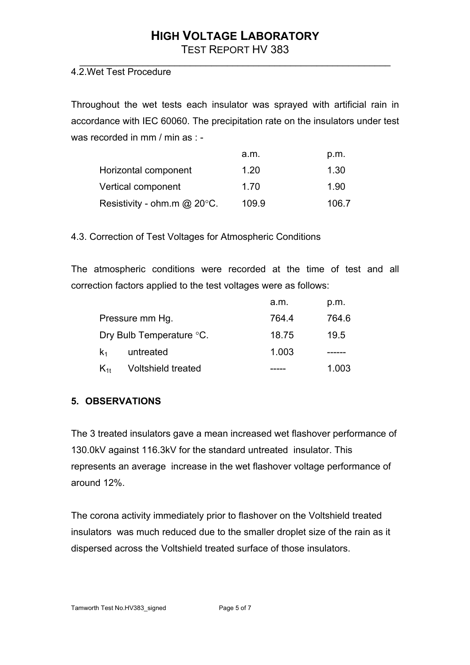TEST REPORT HV 383

#### \_\_\_\_\_\_\_\_\_\_\_\_\_\_\_\_\_\_\_\_\_\_\_\_\_\_\_\_\_\_\_\_\_\_\_\_\_\_\_\_\_\_\_\_\_\_\_\_\_\_\_\_\_\_\_\_\_\_\_ 4.2.Wet Test Procedure

Throughout the wet tests each insulator was sprayed with artificial rain in accordance with IEC 60060. The precipitation rate on the insulators under test was recorded in mm / min as : -

|                                   | a.m.  | p.m.  |
|-----------------------------------|-------|-------|
| Horizontal component              | 1.20  | 1.30  |
| Vertical component                | 1.70  | 1.90  |
| Resistivity - ohm.m $@$ 20 $°C$ . | 109.9 | 106.7 |

4.3. Correction of Test Voltages for Atmospheric Conditions

The atmospheric conditions were recorded at the time of test and all correction factors applied to the test voltages were as follows:

|                 |                           | a.m.  | p.m.  |
|-----------------|---------------------------|-------|-------|
| Pressure mm Hg. |                           | 764.4 | 764.6 |
|                 | Dry Bulb Temperature °C.  | 18.75 | 19.5  |
| $\mathsf{k}_1$  | untreated                 | 1.003 |       |
| $K_{1t}$        | <b>Voltshield treated</b> |       | 1.003 |

#### **5. OBSERVATIONS**

The 3 treated insulators gave a mean increased wet flashover performance of 130.0kV against 116.3kV for the standard untreated insulator. This represents an average increase in the wet flashover voltage performance of around 12%.

The corona activity immediately prior to flashover on the Voltshield treated insulators was much reduced due to the smaller droplet size of the rain as it dispersed across the Voltshield treated surface of those insulators.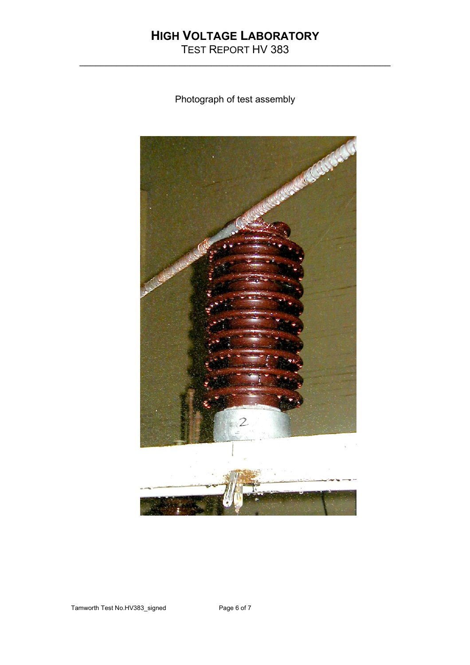TEST REPORT HV 383 \_\_\_\_\_\_\_\_\_\_\_\_\_\_\_\_\_\_\_\_\_\_\_\_\_\_\_\_\_\_\_\_\_\_\_\_\_\_\_\_\_\_\_\_\_\_\_\_\_\_\_\_\_\_\_\_\_\_\_

Photograph of test assembly